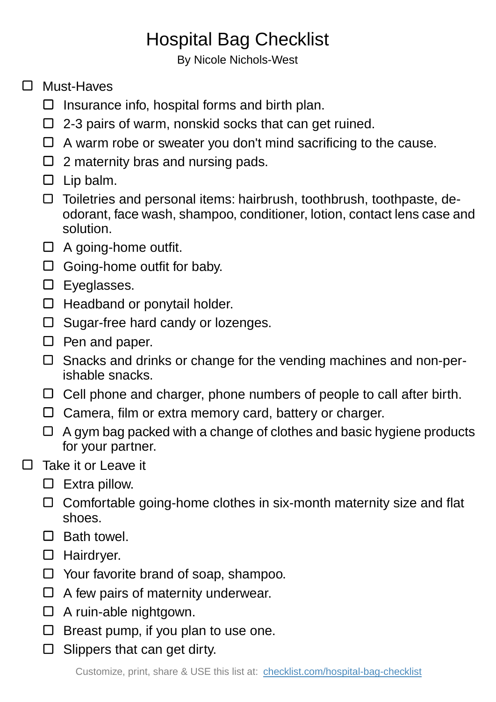## Hospital Bag Checklist

By Nicole Nichols-West

## □ Must-Haves

- $\Box$  Insurance info, hospital forms and birth plan.
- $\Box$  2-3 pairs of warm, nonskid socks that can get ruined.
- $\Box$  A warm robe or sweater you don't mind sacrificing to the cause.
- $\Box$  2 maternity bras and nursing pads.
- $\square$  Lip balm.
- $\Box$  Toiletries and personal items: hairbrush, toothbrush, toothpaste, deodorant, face wash, shampoo, conditioner, lotion, contact lens case and solution.
- $\Box$  A going-home outfit.
- $\Box$  Going-home outfit for baby.
- Eyeglasses.
- $\Box$  Headband or ponytail holder.
- $\Box$  Sugar-free hard candy or lozenges.
- $\Box$  Pen and paper.
- □ Snacks and drinks or change for the vending machines and non-perishable snacks.
- $\Box$  Cell phone and charger, phone numbers of people to call after birth.
- $\Box$  Camera, film or extra memory card, battery or charger.
- $\Box$  A gym bag packed with a change of clothes and basic hygiene products for your partner.
- Take it or Leave it  $\Box$ 
	- $\square$  Extra pillow.
	- $\Box$  Comfortable going-home clothes in six-month maternity size and flat shoes.
	- $\Box$  Bath towel.
	- □ Hairdryer.
	- $\Box$  Your favorite brand of soap, shampoo.
	- $\Box$  A few pairs of maternity underwear.
	- □ A ruin-able nightgown.
	- $\Box$  Breast pump, if you plan to use one.
	- $\Box$  Slippers that can get dirty.